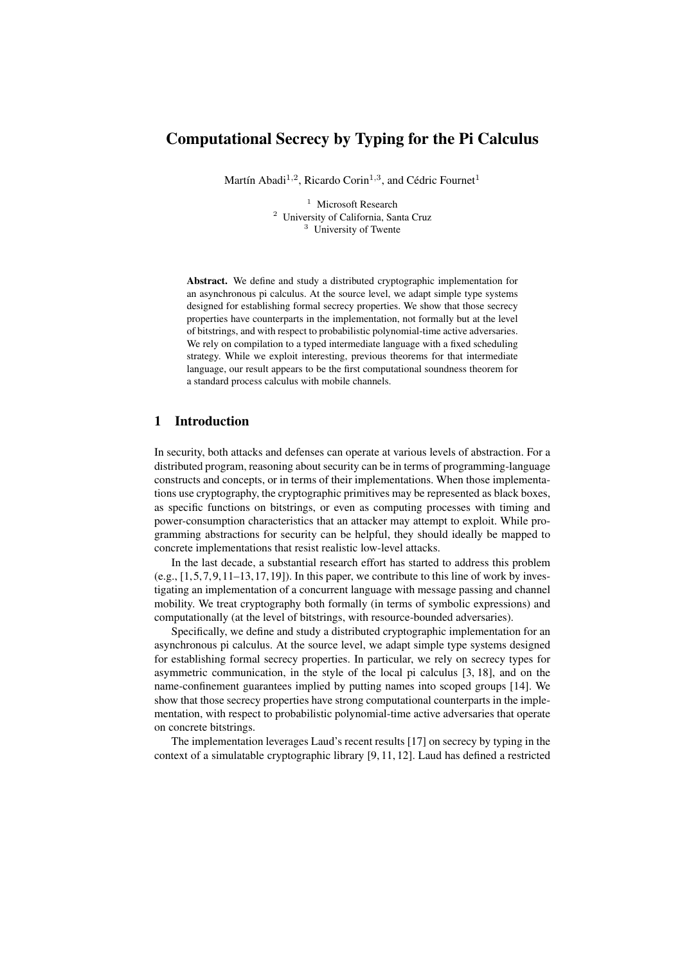# Computational Secrecy by Typing for the Pi Calculus

Martín Abadi<sup>1,2</sup>, Ricardo Corin<sup>1,3</sup>, and Cédric Fournet<sup>1</sup>

<sup>1</sup> Microsoft Research <sup>2</sup> University of California, Santa Cruz <sup>3</sup> University of Twente

Abstract. We define and study a distributed cryptographic implementation for an asynchronous pi calculus. At the source level, we adapt simple type systems designed for establishing formal secrecy properties. We show that those secrecy properties have counterparts in the implementation, not formally but at the level of bitstrings, and with respect to probabilistic polynomial-time active adversaries. We rely on compilation to a typed intermediate language with a fixed scheduling strategy. While we exploit interesting, previous theorems for that intermediate language, our result appears to be the first computational soundness theorem for a standard process calculus with mobile channels.

#### 1 Introduction

In security, both attacks and defenses can operate at various levels of abstraction. For a distributed program, reasoning about security can be in terms of programming-language constructs and concepts, or in terms of their implementations. When those implementations use cryptography, the cryptographic primitives may be represented as black boxes, as specific functions on bitstrings, or even as computing processes with timing and power-consumption characteristics that an attacker may attempt to exploit. While programming abstractions for security can be helpful, they should ideally be mapped to concrete implementations that resist realistic low-level attacks.

In the last decade, a substantial research effort has started to address this problem  $(e.g., [1, 5, 7, 9, 11–13, 17, 19])$ . In this paper, we contribute to this line of work by investigating an implementation of a concurrent language with message passing and channel mobility. We treat cryptography both formally (in terms of symbolic expressions) and computationally (at the level of bitstrings, with resource-bounded adversaries).

Specifically, we define and study a distributed cryptographic implementation for an asynchronous pi calculus. At the source level, we adapt simple type systems designed for establishing formal secrecy properties. In particular, we rely on secrecy types for asymmetric communication, in the style of the local pi calculus [3, 18], and on the name-confinement guarantees implied by putting names into scoped groups [14]. We show that those secrecy properties have strong computational counterparts in the implementation, with respect to probabilistic polynomial-time active adversaries that operate on concrete bitstrings.

The implementation leverages Laud's recent results [17] on secrecy by typing in the context of a simulatable cryptographic library [9, 11, 12]. Laud has defined a restricted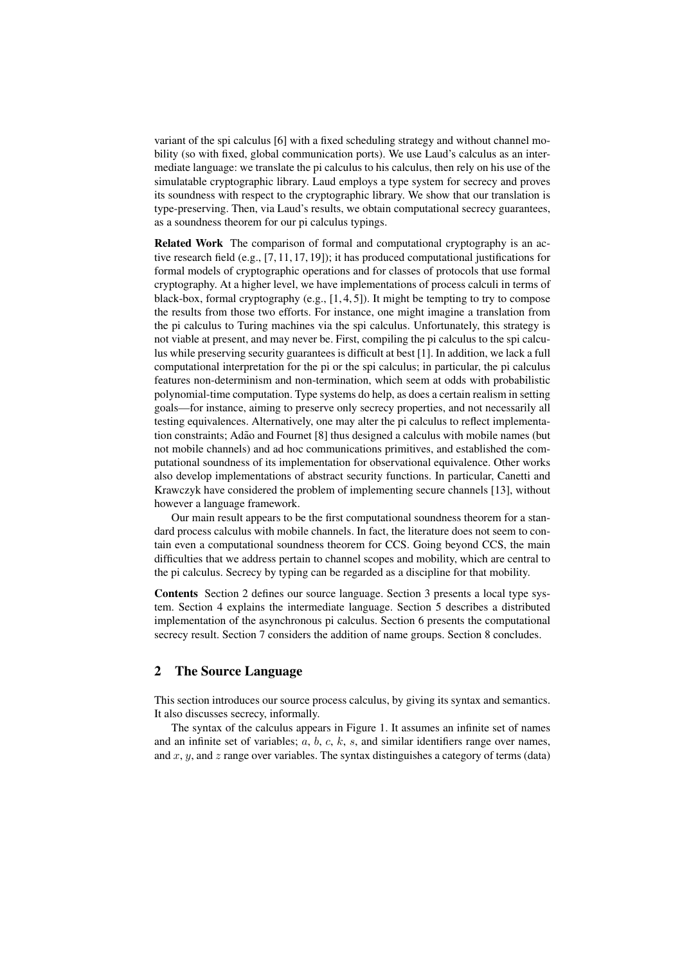variant of the spi calculus [6] with a fixed scheduling strategy and without channel mobility (so with fixed, global communication ports). We use Laud's calculus as an intermediate language: we translate the pi calculus to his calculus, then rely on his use of the simulatable cryptographic library. Laud employs a type system for secrecy and proves its soundness with respect to the cryptographic library. We show that our translation is type-preserving. Then, via Laud's results, we obtain computational secrecy guarantees, as a soundness theorem for our pi calculus typings.

Related Work The comparison of formal and computational cryptography is an active research field (e.g., [7, 11, 17, 19]); it has produced computational justifications for formal models of cryptographic operations and for classes of protocols that use formal cryptography. At a higher level, we have implementations of process calculi in terms of black-box, formal cryptography (e.g.,  $[1, 4, 5]$ ). It might be tempting to try to compose the results from those two efforts. For instance, one might imagine a translation from the pi calculus to Turing machines via the spi calculus. Unfortunately, this strategy is not viable at present, and may never be. First, compiling the pi calculus to the spi calculus while preserving security guarantees is difficult at best [1]. In addition, we lack a full computational interpretation for the pi or the spi calculus; in particular, the pi calculus features non-determinism and non-termination, which seem at odds with probabilistic polynomial-time computation. Type systems do help, as does a certain realism in setting goals—for instance, aiming to preserve only secrecy properties, and not necessarily all testing equivalences. Alternatively, one may alter the pi calculus to reflect implementation constraints; Adão and Fournet [8] thus designed a calculus with mobile names (but not mobile channels) and ad hoc communications primitives, and established the computational soundness of its implementation for observational equivalence. Other works also develop implementations of abstract security functions. In particular, Canetti and Krawczyk have considered the problem of implementing secure channels [13], without however a language framework.

Our main result appears to be the first computational soundness theorem for a standard process calculus with mobile channels. In fact, the literature does not seem to contain even a computational soundness theorem for CCS. Going beyond CCS, the main difficulties that we address pertain to channel scopes and mobility, which are central to the pi calculus. Secrecy by typing can be regarded as a discipline for that mobility.

Contents Section 2 defines our source language. Section 3 presents a local type system. Section 4 explains the intermediate language. Section 5 describes a distributed implementation of the asynchronous pi calculus. Section 6 presents the computational secrecy result. Section 7 considers the addition of name groups. Section 8 concludes.

#### 2 The Source Language

This section introduces our source process calculus, by giving its syntax and semantics. It also discusses secrecy, informally.

The syntax of the calculus appears in Figure 1. It assumes an infinite set of names and an infinite set of variables;  $a, b, c, k, s$ , and similar identifiers range over names, and  $x, y$ , and  $z$  range over variables. The syntax distinguishes a category of terms (data)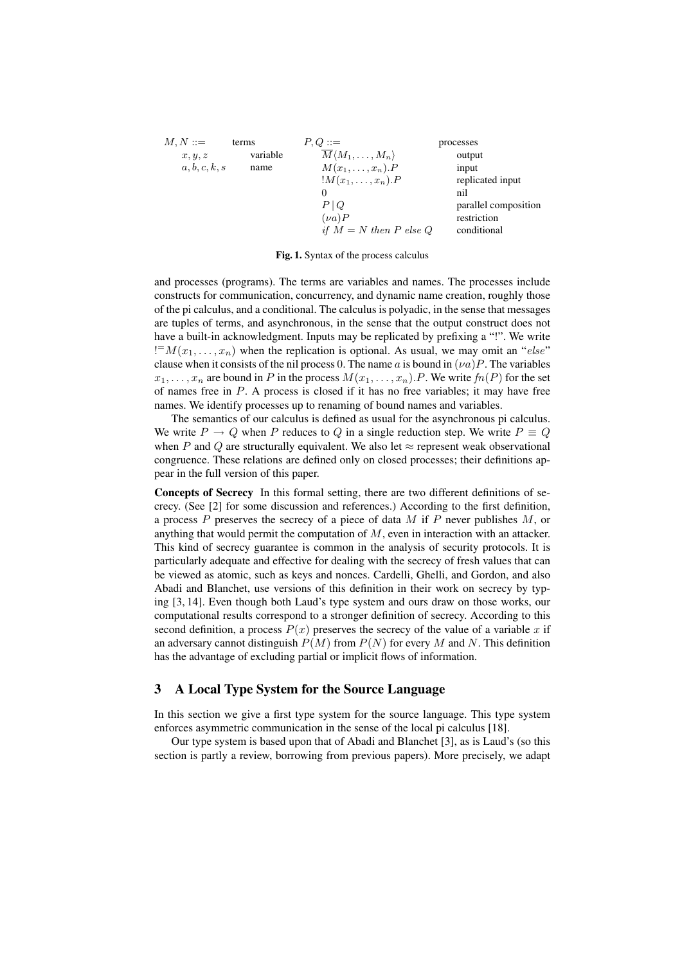

Fig. 1. Syntax of the process calculus

and processes (programs). The terms are variables and names. The processes include constructs for communication, concurrency, and dynamic name creation, roughly those of the pi calculus, and a conditional. The calculus is polyadic, in the sense that messages are tuples of terms, and asynchronous, in the sense that the output construct does not have a built-in acknowledgment. Inputs may be replicated by prefixing a "!". We write  $C^{\dagger}M(x_1,\ldots,x_n)$  when the replication is optional. As usual, we may omit an "else" clause when it consists of the nil process 0. The name a is bound in  $(\nu a)P$ . The variables  $x_1, \ldots, x_n$  are bound in P in the process  $M(x_1, \ldots, x_n)$ . We write  $f_n(P)$  for the set of names free in  $P$ . A process is closed if it has no free variables; it may have free names. We identify processes up to renaming of bound names and variables.

The semantics of our calculus is defined as usual for the asynchronous pi calculus. We write  $P \to Q$  when P reduces to Q in a single reduction step. We write  $P \equiv Q$ when P and Q are structurally equivalent. We also let  $\approx$  represent weak observational congruence. These relations are defined only on closed processes; their definitions appear in the full version of this paper.

Concepts of Secrecy In this formal setting, there are two different definitions of secrecy. (See [2] for some discussion and references.) According to the first definition, a process P preserves the secrecy of a piece of data  $M$  if P never publishes  $M$ , or anything that would permit the computation of  $M$ , even in interaction with an attacker. This kind of secrecy guarantee is common in the analysis of security protocols. It is particularly adequate and effective for dealing with the secrecy of fresh values that can be viewed as atomic, such as keys and nonces. Cardelli, Ghelli, and Gordon, and also Abadi and Blanchet, use versions of this definition in their work on secrecy by typing [3, 14]. Even though both Laud's type system and ours draw on those works, our computational results correspond to a stronger definition of secrecy. According to this second definition, a process  $P(x)$  preserves the secrecy of the value of a variable x if an adversary cannot distinguish  $P(M)$  from  $P(N)$  for every M and N. This definition has the advantage of excluding partial or implicit flows of information.

## 3 A Local Type System for the Source Language

In this section we give a first type system for the source language. This type system enforces asymmetric communication in the sense of the local pi calculus [18].

Our type system is based upon that of Abadi and Blanchet [3], as is Laud's (so this section is partly a review, borrowing from previous papers). More precisely, we adapt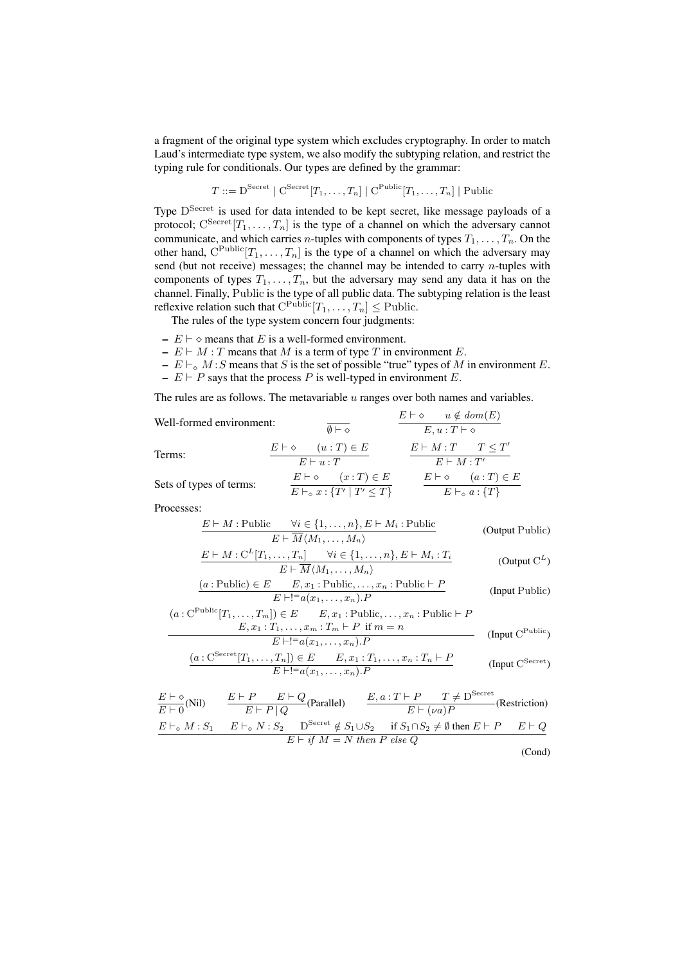a fragment of the original type system which excludes cryptography. In order to match Laud's intermediate type system, we also modify the subtyping relation, and restrict the typing rule for conditionals. Our types are defined by the grammar:

$$
T ::= D^{Secret} | C^{Secret}[T_1, \ldots, T_n] | C^{Public}[T_1, \ldots, T_n] | Public
$$

Type  $D^{Secret}$  is used for data intended to be kept secret, like message payloads of a protocol;  $C^{Secret}[T_1, \ldots, T_n]$  is the type of a channel on which the adversary cannot communicate, and which carries *n*-tuples with components of types  $T_1, \ldots, T_n$ . On the other hand,  $C^{\text{Public}}[T_1, \ldots, T_n]$  is the type of a channel on which the adversary may send (but not receive) messages; the channel may be intended to carry  $n$ -tuples with components of types  $T_1, \ldots, T_n$ , but the adversary may send any data it has on the channel. Finally, Public is the type of all public data. The subtyping relation is the least reflexive relation such that  $C^{\text{Public}}[T_1, \ldots, T_n] \leq \text{Public.}$ 

The rules of the type system concern four judgments:

- $E \vdash \diamond$  means that E is a well-formed environment.
- $E \vdash M : T$  means that M is a term of type T in environment E.
- $E \vdash_{\diamond} M : S$  means that S is the set of possible "true" types of M in environment E.
- $E \vdash P$  says that the process P is well-typed in environment E.

The rules are as follows. The metavariable  $u$  ranges over both names and variables.

| Well-formed environment: | \n $\overline{\emptyset \vdash \diamond}$ \n       | \n $\overline{E \vdash \diamond}$ \n               | \n $E \vdash \diamond$ \n                          | \n $E \vdash \diamond$ \n | \n $E \vdash u : T \vdash \diamond$ \n |
|--------------------------|----------------------------------------------------|----------------------------------------------------|----------------------------------------------------|---------------------------|----------------------------------------|
| Terms:                   | \n $\overline{E \vdash u : T}$ \n                  | \n $\overline{E \vdash u : T}$ \n                  | \n $\overline{E \vdash M : T}$ \n                  | \n $E \vdash M : T$ \n    | \n $T \leq T'$ \n                      |
| Sets of types of terms:  | \n $\overline{E \vdash \diamond (x : T) \in E}$ \n | \n $\overline{E \vdash \diamond (x : T) \in F}$ \n | \n $\overline{E \vdash \diamond (a : T) \in E}$ \n |                           |                                        |

Processes:

$$
E \vdash M : \text{Public} \quad \forall i \in \{1, ..., n\}, E \vdash M_i : \text{Public} \tag{Output \text{ Public}}
$$
\n
$$
E \vdash \overline{M} \langle M_1, ..., M_n \rangle \tag{Output \text{ Public}}
$$

$$
\frac{E \vdash M : C^L[T_1, \dots, T_n] \quad \forall i \in \{1, \dots, n\}, E \vdash M_i : T_i}{E \vdash \overline{M} \langle M_1, \dots, M_n \rangle} \tag{Output C^L}
$$

$$
\frac{(a: \text{Public}) \in E \qquad E, x_1: \text{Public}, \dots, x_n: \text{Public} \vdash P}{E \vdash ! = a(x_1, \dots, x_n).P} \tag{Input Public}
$$

$$
(a: C^{\text{Public}}[T_1, \dots, T_m]) \in E \qquad E, x_1 : \text{Public}, \dots, x_n : \text{Public} \vdash P
$$
  

$$
E, x_1 : T_1, \dots, x_m : T_m \vdash P \text{ if } m = n
$$
  

$$
E \vdash ! = a(x_1, \dots, x_n).P
$$
 (Input C<sup>Public</sup>)

$$
\frac{(a:C^{\text{Secret}}[T_1,\ldots,T_n])\in E\qquad E,x_1:T_1,\ldots,x_n:T_n\vdash P}{E\vdash !=a(x_1,\ldots,x_n).P} \qquad (\text{Input } C^{\text{Secret}})
$$

$$
\frac{E \vdash \diamond}{E \vdash 0} \text{(Nil)} \qquad \frac{E \vdash P \qquad E \vdash Q}{E \vdash P \mid Q} \text{(Parallel)} \qquad \frac{E, a : T \vdash P \qquad T \neq \text{D}^{\text{Secret}}}{E \vdash (\nu a)P} \text{(Restriction)}
$$
\n
$$
\frac{E \vdash_{\diamond} M : S_1 \qquad E \vdash_{\diamond} N : S_2 \qquad \text{D}^{\text{Secret}} \notin S_1 \cup S_2 \qquad \text{if } S_1 \cap S_2 \neq \emptyset \text{ then } E \vdash P \qquad E \vdash Q}{E \vdash \text{if } M = N \text{ then } P \text{ else } Q} \tag{Cond}
$$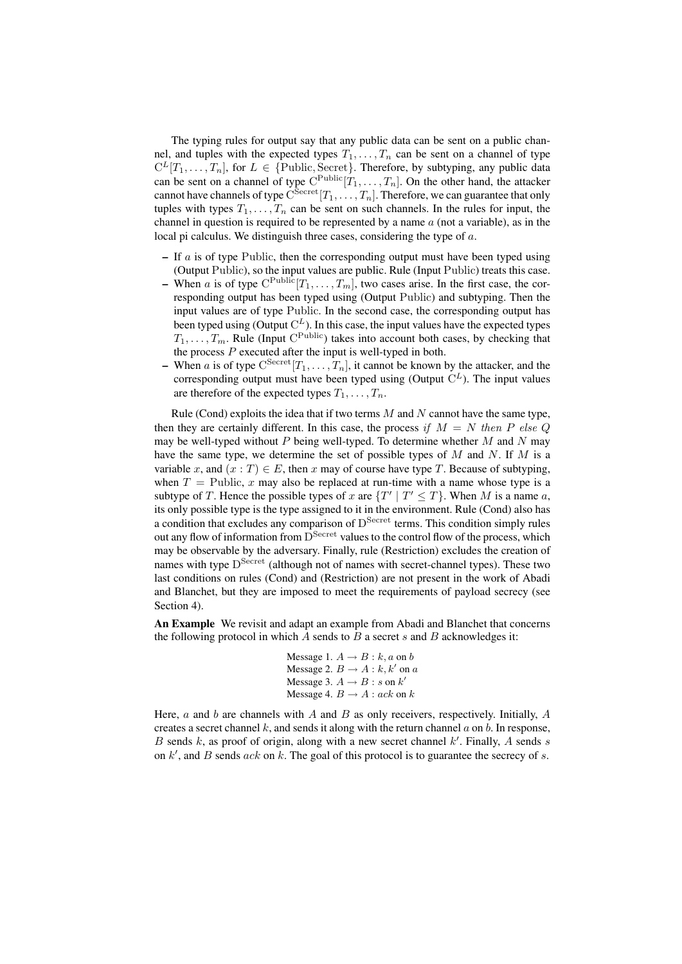The typing rules for output say that any public data can be sent on a public channel, and tuples with the expected types  $T_1, \ldots, T_n$  can be sent on a channel of type  $C^{L}[T_1, \ldots, T_n]$ , for  $L \in \{Public, Secret\}$ . Therefore, by subtyping, any public data can be sent on a channel of type  $C^{\text{Public}}[T_1, \ldots, T_n]$ . On the other hand, the attacker cannot have channels of type  $\mathrm{C^{Secret}}[T_1,\ldots, T_n].$  Therefore, we can guarantee that only tuples with types  $T_1, \ldots, T_n$  can be sent on such channels. In the rules for input, the channel in question is required to be represented by a name  $a$  (not a variable), as in the local pi calculus. We distinguish three cases, considering the type of a.

- If  $\alpha$  is of type Public, then the corresponding output must have been typed using (Output Public), so the input values are public. Rule (Input Public) treats this case.
- When a is of type  $C^{\text{Public}}[T_1, \ldots, T_m]$ , two cases arise. In the first case, the corresponding output has been typed using (Output Public) and subtyping. Then the input values are of type Public. In the second case, the corresponding output has been typed using (Output  $C^L$ ). In this case, the input values have the expected types  $T_1, \ldots, T_m$ . Rule (Input C<sup>Public</sup>) takes into account both cases, by checking that the process  $P$  executed after the input is well-typed in both.
- When *a* is of type  $C^{Secret}[T_1, \ldots, T_n]$ , it cannot be known by the attacker, and the corresponding output must have been typed using (Output  $C^L$ ). The input values are therefore of the expected types  $T_1, \ldots, T_n$ .

Rule (Cond) exploits the idea that if two terms  $M$  and  $N$  cannot have the same type, then they are certainly different. In this case, the process if  $M = N$  then P else Q may be well-typed without  $P$  being well-typed. To determine whether  $M$  and  $N$  may have the same type, we determine the set of possible types of  $M$  and  $N$ . If  $M$  is a variable x, and  $(x : T) \in E$ , then x may of course have type T. Because of subtyping, when  $T =$  Public, x may also be replaced at run-time with a name whose type is a subtype of T. Hence the possible types of x are  $\{T' | T' \leq T\}$ . When M is a name a, its only possible type is the type assigned to it in the environment. Rule (Cond) also has a condition that excludes any comparison of  $D^{Secret}$  terms. This condition simply rules out any flow of information from  $D^{Secret}$  values to the control flow of the process, which may be observable by the adversary. Finally, rule (Restriction) excludes the creation of names with type  $D^{Secret}$  (although not of names with secret-channel types). These two last conditions on rules (Cond) and (Restriction) are not present in the work of Abadi and Blanchet, but they are imposed to meet the requirements of payload secrecy (see Section 4).

An Example We revisit and adapt an example from Abadi and Blanchet that concerns the following protocol in which  $A$  sends to  $B$  a secret  $s$  and  $B$  acknowledges it:

> Message 1.  $A \rightarrow B : k, a$  on b Message 2.  $B \to A : k, k'$  on a Message 3.  $A \rightarrow B : s$  on  $k'$ Message 4.  $B \rightarrow A : ack$  on k

Here,  $a$  and  $b$  are channels with  $A$  and  $B$  as only receivers, respectively. Initially,  $A$ creates a secret channel k, and sends it along with the return channel  $\alpha$  on  $\beta$ . In response,  $B$  sends  $k$ , as proof of origin, along with a new secret channel  $k'$ . Finally,  $A$  sends  $s$ on  $k'$ , and  $B$  sends  $ack$  on  $k$ . The goal of this protocol is to guarantee the secrecy of  $s$ .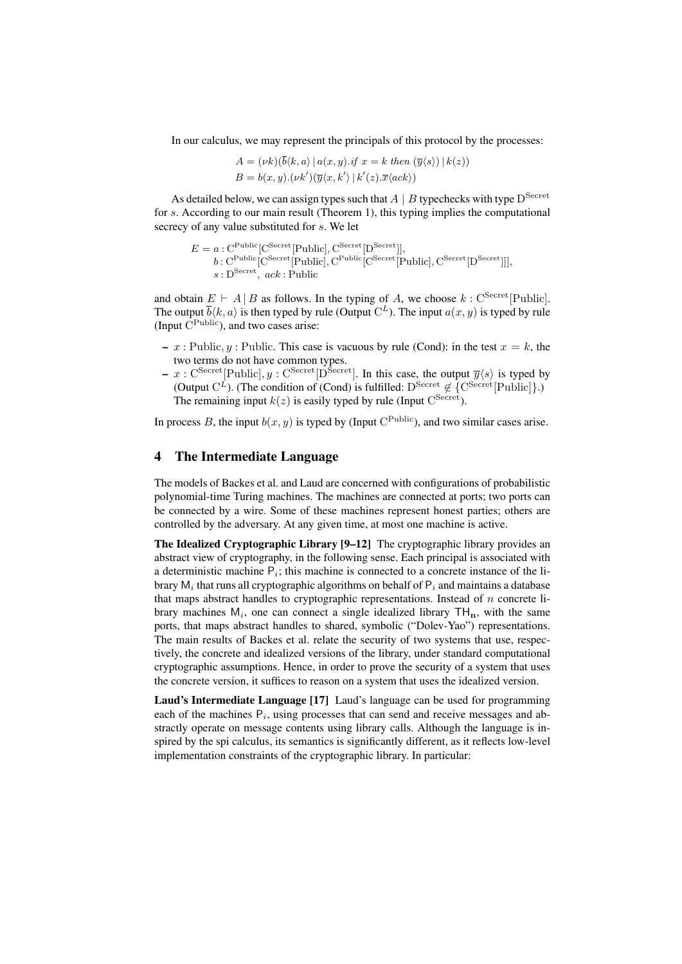In our calculus, we may represent the principals of this protocol by the processes:

$$
A = (\nu k)(\overline{b}\langle k, a \rangle) a(x, y). if x = k \text{ then } (\overline{y}\langle s \rangle) | k(z))
$$
  

$$
B = b(x, y).(\nu k')(\overline{y}\langle x, k' \rangle) | k'(z).\overline{x}\langle ack \rangle)
$$

As detailed below, we can assign types such that  $A \mid B$  typechecks with type  $D^{\text{Secret}}$ for s. According to our main result (Theorem 1), this typing implies the computational secrecy of any value substituted for s. We let

$$
E = a : C^{\text{Public}}[C^{\text{Secret}}[\text{Public}], C^{\text{Secret}}[\text{D}^{\text{Secret}}]],
$$
  

$$
b : C^{\text{Public}}[C^{\text{Secret}}[\text{Public}], C^{\text{Public}}[C^{\text{Secret}}[\text{Public}], C^{\text{Secret}}[\text{Public}], C^{\text{Secret}}]]],
$$
  

$$
s : D^{\text{Secret}}, \,ack : \text{Public}
$$

and obtain  $E \vdash A \mid B$  as follows. In the typing of A, we choose  $k : C^{Secret}[Public].$ The output  $\bar{b}(k, a)$  is then typed by rule (Output C<sup>L</sup>). The input  $a(x, y)$  is typed by rule (Input  $C^{Public}$ ), and two cases arise:

- $x$ : Public, y : Public. This case is vacuous by rule (Cond): in the test  $x = k$ , the two terms do not have common types.
- $x : C^{Secret}[Public], y : C^{Secret}[D^{\tilde{S}ecret}]$ . In this case, the output  $\overline{y}\langle s \rangle$  is typed by (Output C<sup>L</sup>). (The condition of (Cond) is fulfilled:  $D^{\text{Secret}} \notin \{C^{\text{Secret}}[\text{Public}]\}.$ The remaining input  $k(z)$  is easily typed by rule (Input  $C^{\text{Secret}}$ ).

In process B, the input  $b(x, y)$  is typed by (Input  $C^{\text{Public}}$ ), and two similar cases arise.

#### 4 The Intermediate Language

The models of Backes et al. and Laud are concerned with configurations of probabilistic polynomial-time Turing machines. The machines are connected at ports; two ports can be connected by a wire. Some of these machines represent honest parties; others are controlled by the adversary. At any given time, at most one machine is active.

The Idealized Cryptographic Library [9–12] The cryptographic library provides an abstract view of cryptography, in the following sense. Each principal is associated with a deterministic machine  $P_i$ ; this machine is connected to a concrete instance of the library  $\mathsf{M}_i$  that runs all cryptographic algorithms on behalf of  $\mathsf{P}_i$  and maintains a database that maps abstract handles to cryptographic representations. Instead of  $n$  concrete library machines  $M_i$ , one can connect a single idealized library  $TH_n$ , with the same ports, that maps abstract handles to shared, symbolic ("Dolev-Yao") representations. The main results of Backes et al. relate the security of two systems that use, respectively, the concrete and idealized versions of the library, under standard computational cryptographic assumptions. Hence, in order to prove the security of a system that uses the concrete version, it suffices to reason on a system that uses the idealized version.

Laud's Intermediate Language [17] Laud's language can be used for programming each of the machines  $P_i$ , using processes that can send and receive messages and abstractly operate on message contents using library calls. Although the language is inspired by the spi calculus, its semantics is significantly different, as it reflects low-level implementation constraints of the cryptographic library. In particular: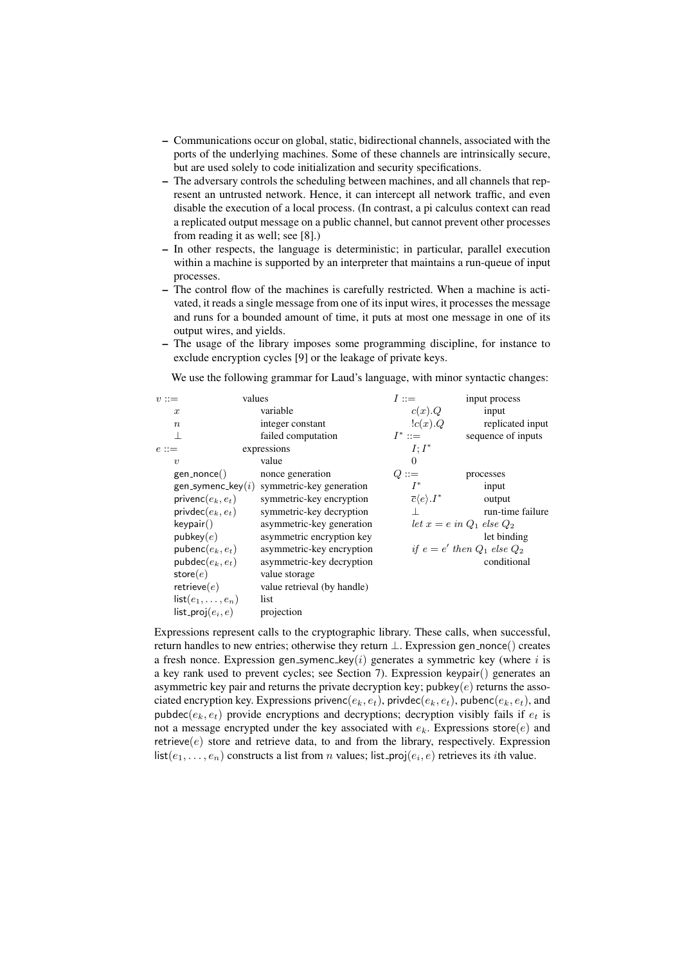- Communications occur on global, static, bidirectional channels, associated with the ports of the underlying machines. Some of these channels are intrinsically secure, but are used solely to code initialization and security specifications.
- The adversary controls the scheduling between machines, and all channels that represent an untrusted network. Hence, it can intercept all network traffic, and even disable the execution of a local process. (In contrast, a pi calculus context can read a replicated output message on a public channel, but cannot prevent other processes from reading it as well; see [8].)
- In other respects, the language is deterministic; in particular, parallel execution within a machine is supported by an interpreter that maintains a run-queue of input processes.
- The control flow of the machines is carefully restricted. When a machine is activated, it reads a single message from one of its input wires, it processes the message and runs for a bounded amount of time, it puts at most one message in one of its output wires, and yields.
- The usage of the library imposes some programming discipline, for instance to exclude encryption cycles [9] or the leakage of private keys.

We use the following grammar for Laud's language, with minor syntactic changes:

| $v ::=$ | values                   |                             | $I ::=$                              | input process                     |
|---------|--------------------------|-----------------------------|--------------------------------------|-----------------------------------|
|         | $\boldsymbol{x}$         | variable                    | c(x).Q                               | input                             |
|         | $\boldsymbol{n}$         | integer constant            | lc(x).Q                              | replicated input                  |
|         |                          | failed computation          | $I^* ::=$                            | sequence of inputs                |
| $e ::=$ |                          | expressions                 | $I;I^*$                              |                                   |
|         | $\boldsymbol{v}$         | value                       | $\Omega$                             |                                   |
|         | $gen\_nonce()$           | nonce generation            | $Q ::=$                              | processes                         |
|         | gen_symenc_key $(i)$     | symmetric-key generation    | $I^*$                                | input                             |
|         | privenc $(e_k, e_t)$     | symmetric-key encryption    | $\overline{c}\langle e \rangle .I^*$ | output                            |
|         | privdec $(e_k, e_t)$     | symmetric-key decryption    |                                      | run-time failure                  |
|         | keypair()                | asymmetric-key generation   |                                      | let $x = e$ in $Q_1$ else $Q_2$   |
|         | pubkey(e)                | asymmetric encryption key   |                                      | let binding                       |
|         | $public(c_k, e_t)$       | asymmetric-key encryption   |                                      | if $e = e'$ then $Q_1$ else $Q_2$ |
|         | $public(e_k, e_t)$       | asymmetric-key decryption   |                                      | conditional                       |
|         | store $(e)$              | value storage               |                                      |                                   |
|         | $\mathsf{retrieve}(e)$   | value retrieval (by handle) |                                      |                                   |
|         | $list(e_1, \ldots, e_n)$ | list                        |                                      |                                   |
|         | $list\_proj(e_i, e)$     | projection                  |                                      |                                   |

Expressions represent calls to the cryptographic library. These calls, when successful, return handles to new entries; otherwise they return ⊥. Expression gen\_nonce() creates a fresh nonce. Expression gen\_symenc\_key $(i)$  generates a symmetric key (where i is a key rank used to prevent cycles; see Section 7). Expression keypair() generates an asymmetric key pair and returns the private decryption key; pubkey $(e)$  returns the associated encryption key. Expressions privenc $(e_k, e_t)$ , privdec $(e_k, e_t)$ , pubenc $(e_k, e_t)$ , and pubdec( $e_k, e_t$ ) provide encryptions and decryptions; decryption visibly fails if  $e_t$  is not a message encrypted under the key associated with  $e_k$ . Expressions store $(e)$  and retrieve $(e)$  store and retrieve data, to and from the library, respectively. Expression  $list(e_1, \ldots, e_n)$  constructs a list from n values; list\_proj $(e_i, e)$  retrieves its *i*th value.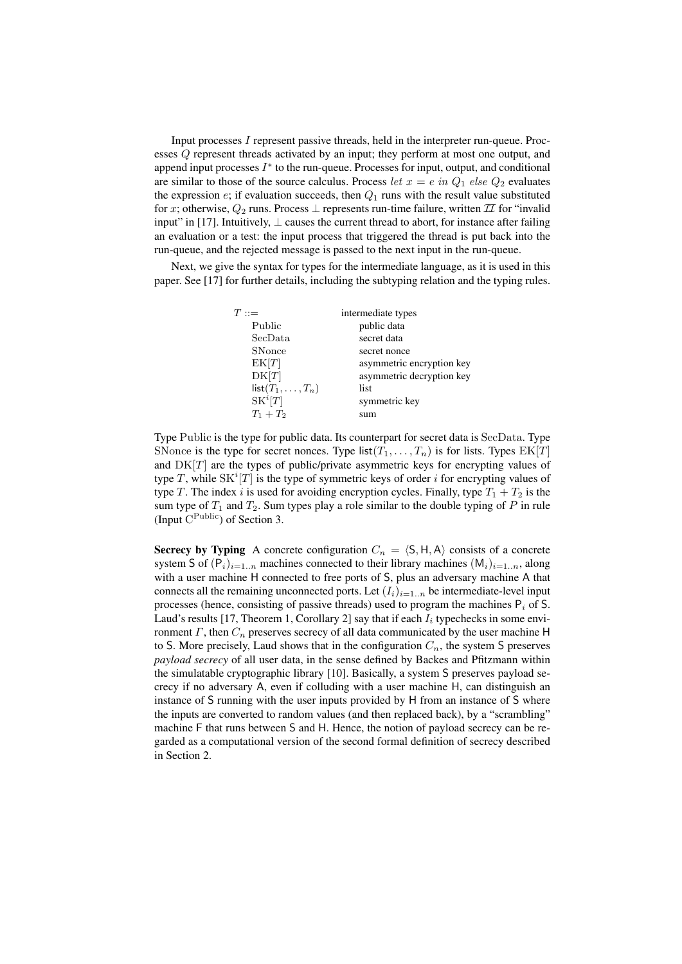Input processes I represent passive threads, held in the interpreter run-queue. Processes Q represent threads activated by an input; they perform at most one output, and append input processes  $I^*$  to the run-queue. Processes for input, output, and conditional are similar to those of the source calculus. Process let  $x = e$  in  $Q_1$  else  $Q_2$  evaluates the expression  $e$ ; if evaluation succeeds, then  $Q_1$  runs with the result value substituted for x; otherwise,  $Q_2$  runs. Process  $\perp$  represents run-time failure, written  $\mathcal I\mathcal I$  for "invalid" input" in [17]. Intuitively,  $\perp$  causes the current thread to abort, for instance after failing an evaluation or a test: the input process that triggered the thread is put back into the run-queue, and the rejected message is passed to the next input in the run-queue.

Next, we give the syntax for types for the intermediate language, as it is used in this paper. See [17] for further details, including the subtyping relation and the typing rules.

| $T ::=$                  | intermediate types        |
|--------------------------|---------------------------|
| Public                   | public data               |
| SecData                  | secret data               |
| <b>SNonce</b>            | secret nonce              |
| EK[T]                    | asymmetric encryption key |
| DK[T]                    | asymmetric decryption key |
| $list(T_1, \ldots, T_n)$ | list                      |
| $SK^i[T]$                | symmetric key             |
| $T_1 + T_2$              | sum                       |
|                          |                           |

Type Public is the type for public data. Its counterpart for secret data is SecData. Type SNonce is the type for secret nonces. Type list $(T_1, \ldots, T_n)$  is for lists. Types  $EK[T]$ and  $DK[T]$  are the types of public/private asymmetric keys for encrypting values of type T, while  $SK^i[T]$  is the type of symmetric keys of order i for encrypting values of type T. The index i is used for avoiding encryption cycles. Finally, type  $T_1 + T_2$  is the sum type of  $T_1$  and  $T_2$ . Sum types play a role similar to the double typing of P in rule (Input  $C^{\text{Public}}$ ) of Section 3.

Secrecy by Typing A concrete configuration  $C_n = \langle S, H, A \rangle$  consists of a concrete system S of  $(P_i)_{i=1..n}$  machines connected to their library machines  $(M_i)_{i=1..n}$ , along with a user machine H connected to free ports of S, plus an adversary machine A that connects all the remaining unconnected ports. Let  $(I_i)_{i=1..n}$  be intermediate-level input processes (hence, consisting of passive threads) used to program the machines  $P_i$  of S. Laud's results [17, Theorem 1, Corollary 2] say that if each  $I_i$  typechecks in some environment  $\Gamma$ , then  $C_n$  preserves secrecy of all data communicated by the user machine H to S. More precisely, Laud shows that in the configuration  $C_n$ , the system S preserves *payload secrecy* of all user data, in the sense defined by Backes and Pfitzmann within the simulatable cryptographic library [10]. Basically, a system S preserves payload secrecy if no adversary A, even if colluding with a user machine H, can distinguish an instance of S running with the user inputs provided by H from an instance of S where the inputs are converted to random values (and then replaced back), by a "scrambling" machine F that runs between S and H. Hence, the notion of payload secrecy can be regarded as a computational version of the second formal definition of secrecy described in Section 2.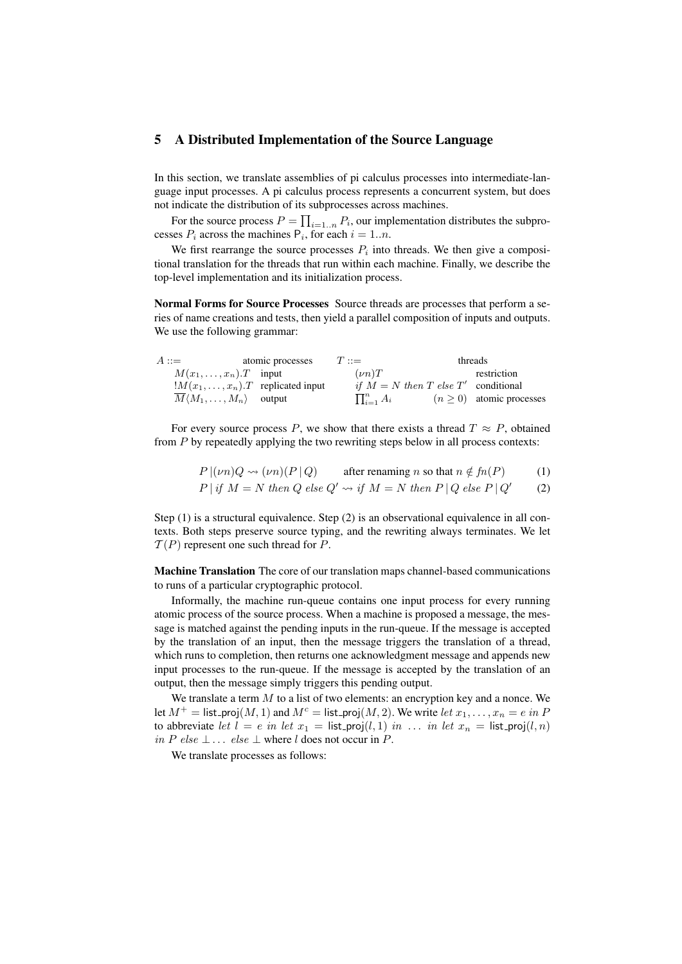#### 5 A Distributed Implementation of the Source Language

In this section, we translate assemblies of pi calculus processes into intermediate-language input processes. A pi calculus process represents a concurrent system, but does not indicate the distribution of its subprocesses across machines.

For the source process  $P = \prod_{i=1...n} P_i$ , our implementation distributes the subprocesses  $P_i$  across the machines  $P_i$ , for each  $i = 1..n$ .

We first rearrange the source processes  $P_i$  into threads. We then give a compositional translation for the threads that run within each machine. Finally, we describe the top-level implementation and its initialization process.

Normal Forms for Source Processes Source threads are processes that perform a series of name creations and tests, then yield a parallel composition of inputs and outputs. We use the following grammar:

| $A ::=$                                            | atomic processes                        | $T ::=$                               | <i>threads</i>                |
|----------------------------------------------------|-----------------------------------------|---------------------------------------|-------------------------------|
| $M(x_1,\ldots,x_n).$ input                         |                                         | $(\nu n)T$                            | restriction                   |
|                                                    | $!M(x_1,\ldots,x_n).T$ replicated input | if $M = N$ then T else T' conditional |                               |
| $\overline{M}\langle M_1,\ldots,M_n\rangle$ output |                                         | $\prod_{i=1}^n A_i$                   | $(n \geq 0)$ atomic processes |

For every source process P, we show that there exists a thread  $T \approx P$ , obtained from P by repeatedly applying the two rewriting steps below in all process contexts:

$$
P | (\nu n) Q \leadsto (\nu n) (P | Q) \qquad \text{after renaming } n \text{ so that } n \notin fn(P) \tag{1}
$$

$$
P | if M = N then Q else Q' \rightsquigarrow if M = N then P | Q else P | Q' \qquad (2)
$$

Step (1) is a structural equivalence. Step (2) is an observational equivalence in all contexts. Both steps preserve source typing, and the rewriting always terminates. We let  $\mathcal{T}(P)$  represent one such thread for P.

Machine Translation The core of our translation maps channel-based communications to runs of a particular cryptographic protocol.

Informally, the machine run-queue contains one input process for every running atomic process of the source process. When a machine is proposed a message, the message is matched against the pending inputs in the run-queue. If the message is accepted by the translation of an input, then the message triggers the translation of a thread, which runs to completion, then returns one acknowledgment message and appends new input processes to the run-queue. If the message is accepted by the translation of an output, then the message simply triggers this pending output.

We translate a term  $M$  to a list of two elements: an encryption key and a nonce. We let  $M^+$  = list\_proj $(M, 1)$  and  $M^c$  = list\_proj $(M, 2)$ . We write let  $x_1, \ldots, x_n = e$  in P to abbreviate let  $l = e$  in let  $x_1 = \text{list\_proj}(l, 1)$  in ... in let  $x_n = \text{list\_proj}(l, n)$ in P else  $\perp$ ... else  $\perp$  where l does not occur in P.

We translate processes as follows: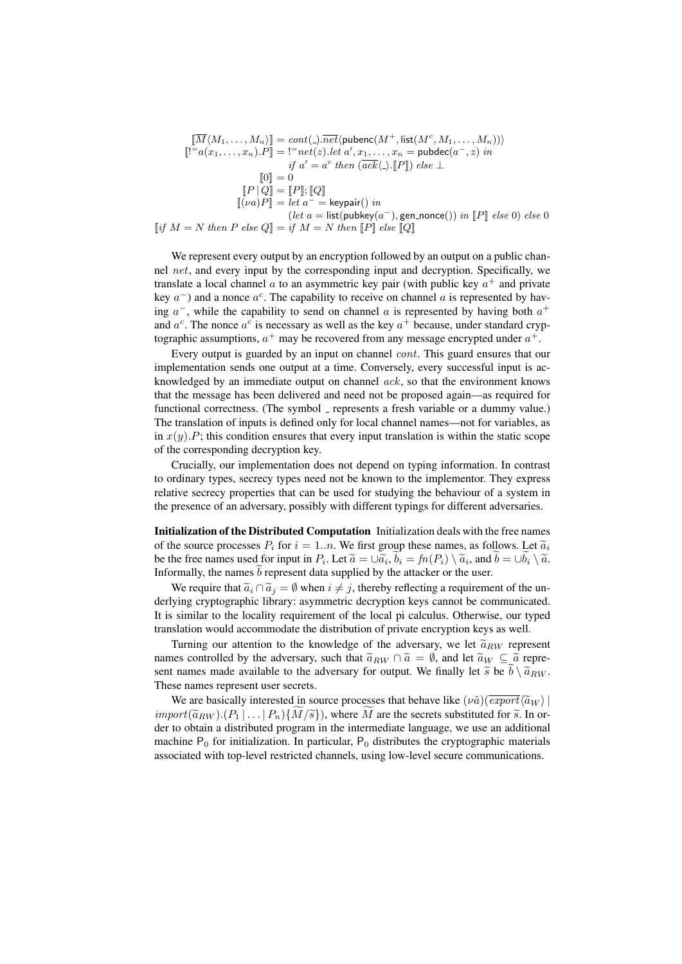$\llbracket \overline{M}\langle M_1, \ldots, M_n\rangle \rrbracket = \mathit{cont}(.)\mathit{.}\overline{\mathit{net}}\langle \mathsf{public}(M^+, \mathsf{list}(M^c, M_1, \ldots, M_n))\rangle$  $[[{}^{=}a(x_1,...,x_n).P] = {}^{!}=net(z).let a', x_1,...,x_n = public(a^-, z) in$ if  $a' = a^c$  then  $(\overline{ack}\ \langle \_ \rangle . [P])$  else  $\bot$  $[0] = 0$  $[ P | Q ] = [ P ] ; [ Q ]$  $[(\nu a)P] = let a^- = \text{keypair}()$  in  $(left a = list(pubkey(a^{-}), gen\_nonce())$  in  $[P]$  else 0) else 0  $\left[\!\left[\begin{smallmatrix} \hat{r} & M \hat{r} \end{smallmatrix}\right]\right] \left[\begin{smallmatrix} K & M \hat{r} \end{smallmatrix}\right] = \left[\begin{smallmatrix} \hat{r} & M \hat{r} \end{smallmatrix}\right] \left[\begin{smallmatrix} K & M \hat{r} \end{smallmatrix}\right] \left[\begin{smallmatrix} K & M \hat{r} \end{smallmatrix}\right] = N$  then  $\left[\!\left[\begin{smallmatrix} P \end{smallmatrix}\right]\!\right]$  else  $\left[\!\left[\!\left[ Q \right]\!\right]\!\right]$ 

We represent every output by an encryption followed by an output on a public channel net, and every input by the corresponding input and decryption. Specifically, we translate a local channel a to an asymmetric key pair (with public key  $a^+$  and private key  $a^-$ ) and a nonce  $a^c$ . The capability to receive on channel a is represented by having  $a^-$ , while the capability to send on channel a is represented by having both  $a^+$ and  $a^c$ . The nonce  $a^c$  is necessary as well as the key  $a^+$  because, under standard cryptographic assumptions,  $a^+$  may be recovered from any message encrypted under  $a^+$ .

Every output is guarded by an input on channel cont. This guard ensures that our implementation sends one output at a time. Conversely, every successful input is acknowledged by an immediate output on channel ack, so that the environment knows that the message has been delivered and need not be proposed again—as required for functional correctness. (The symbol - represents a fresh variable or a dummy value.) The translation of inputs is defined only for local channel names—not for variables, as in  $x(y)$ . P; this condition ensures that every input translation is within the static scope of the corresponding decryption key.

Crucially, our implementation does not depend on typing information. In contrast to ordinary types, secrecy types need not be known to the implementor. They express relative secrecy properties that can be used for studying the behaviour of a system in the presence of an adversary, possibly with different typings for different adversaries.

Initialization of the Distributed Computation Initialization deals with the free names of the source processes  $P_i$  for  $i = 1..n$ . We first group these names, as follows. Let  $\tilde{a}_i$ be the free names used for input in  $P_i$ . Let  $\tilde{a} = \bigcup \tilde{a}_i$ ,  $b_i = fn(P_i) \setminus \tilde{a}_i$ , and  $b = \bigcup b_i \setminus \tilde{a}$ .<br>Informally, the names  $\tilde{b}$  represent data supplied by the attacker or the user Informally, the names  $\tilde{b}$  represent data supplied by the attacker or the user.

We require that  $\tilde{a}_i \cap \tilde{a}_j = \emptyset$  when  $i \neq j$ , thereby reflecting a requirement of the underlying cryptographic library: asymmetric decryption keys cannot be communicated. It is similar to the locality requirement of the local pi calculus. Otherwise, our typed translation would accommodate the distribution of private encryption keys as well.

Turning our attention to the knowledge of the adversary, we let  $\tilde{a}_{RW}$  represent names controlled by the adversary, such that  $\tilde{a}_{RW} \cap \tilde{a} = \emptyset$ , and let  $\tilde{a}_W \subseteq \tilde{a}$  represent names made available to the adversary for output. We finally let  $\tilde{s}$  be  $\tilde{b} \setminus \tilde{a}_{RW}$ . These names represent user secrets.

We are basically interested in source processes that behave like  $(\nu \tilde{a})(\overline{export}\langle \tilde{a}_W \rangle)$  $import(\widetilde{a}_{RW})$ . $(P_1 | ... | P_n)$  $\{M/\widetilde{s}\}\}$ , where M are the secrets substituted for  $\widetilde{s}$ . In order to obtain a distributed program in the intermediate language, we use an additional machine  $P_0$  for initialization. In particular,  $P_0$  distributes the cryptographic materials associated with top-level restricted channels, using low-level secure communications.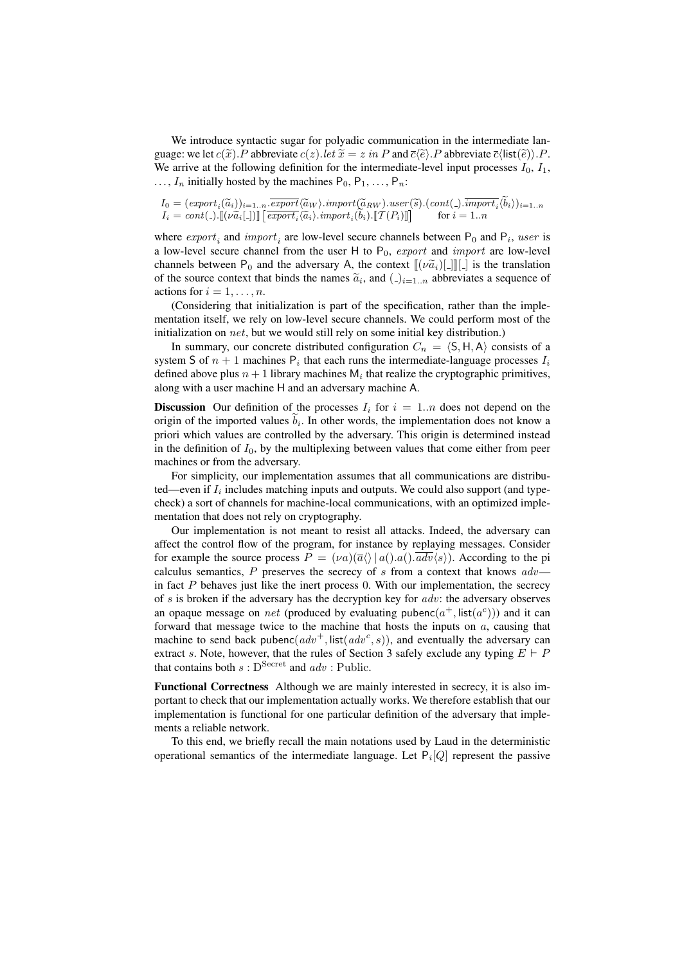We introduce syntactic sugar for polyadic communication in the intermediate language: we let  $c(\tilde{x})$ . P abbreviate  $c(z)$ . let  $\tilde{x} = z$  in P and  $\overline{c}(\tilde{e})$ . P abbreviate  $\overline{c}$ {list( $\tilde{e}$ )}. P. We arrive at the following definition for the intermediate-level input processes  $I_0$ ,  $I_1$ ,  $\ldots$ ,  $I_n$  initially hosted by the machines  $P_0, P_1, \ldots, P_n$ :

$$
I_0 = (export_i(\tilde{a}_i))_{i=1..n} \cdot \overline{export_i(\tilde{a}_W) . import(\tilde{a}_{RW}) . user(\tilde{s}) . (cont(.). \overline{import_i \langle b_i \rangle})_{i=1..n}
$$
  

$$
I_i = cont(.). [[v\tilde{a}_i[.])] [\overline{export_i \langle \tilde{a}_i \rangle . import_i(\tilde{b}_i). [[T(P_i)]]}] \qquad \text{for } i = 1..n
$$

where  $\mathit{export}_i$  and  $\mathit{import}_i$  are low-level secure channels between  $P_0$  and  $P_i$ , user is a low-level secure channel from the user H to  $P_0$ , export and import are low-level channels between  $P_0$  and the adversary A, the context  $[[(\nu \tilde{a}_i) ]_{-}]] [$ ] is the translation of the source context that binds the names  $\tilde{a}_i$ , and  $\left( \_ \right)_{i=1..n}$  abbreviates a sequence of actions for  $i = 1, \ldots, n$ .

(Considering that initialization is part of the specification, rather than the implementation itself, we rely on low-level secure channels. We could perform most of the initialization on net, but we would still rely on some initial key distribution.)

In summary, our concrete distributed configuration  $C_n = \langle S, H, A \rangle$  consists of a system S of  $n + 1$  machines  $P_i$  that each runs the intermediate-language processes  $I_i$ defined above plus  $n+1$  library machines  $M_i$  that realize the cryptographic primitives, along with a user machine H and an adversary machine A.

**Discussion** Our definition of the processes  $I_i$  for  $i = 1..n$  does not depend on the origin of the imported values  $b_i$ . In other words, the implementation does not know a set of the state of the state of the state of the state of the state of the state of the state of the state of the state of the state priori which values are controlled by the adversary. This origin is determined instead in the definition of  $I_0$ , by the multiplexing between values that come either from peer machines or from the adversary.

For simplicity, our implementation assumes that all communications are distributed—even if  $I_i$  includes matching inputs and outputs. We could also support (and typecheck) a sort of channels for machine-local communications, with an optimized implementation that does not rely on cryptography.

Our implementation is not meant to resist all attacks. Indeed, the adversary can affect the control flow of the program, for instance by replaying messages. Consider for example the source process  $P = (\nu a)(\overline{a}\langle a \rangle | a().a(.)\overline{a}\overline{dv}\langle s \rangle)$ . According to the pi calculus semantics, P preserves the secrecy of s from a context that knows  $adv$ in fact  $P$  behaves just like the inert process  $0$ . With our implementation, the secrecy of  $s$  is broken if the adversary has the decryption key for  $adv$ : the adversary observes an opaque message on *net* (produced by evaluating pubenc $(a^+, \text{list}(a^c)))$  and it can forward that message twice to the machine that hosts the inputs on  $a$ , causing that machine to send back pubenc $(adv^+, \text{list}(adv^c, s))$ , and eventually the adversary can extract s. Note, however, that the rules of Section 3 safely exclude any typing  $E \vdash P$ that contains both  $s : D^{Secret}$  and  $adv : Public$ .

Functional Correctness Although we are mainly interested in secrecy, it is also important to check that our implementation actually works. We therefore establish that our implementation is functional for one particular definition of the adversary that implements a reliable network.

To this end, we briefly recall the main notations used by Laud in the deterministic operational semantics of the intermediate language. Let  $P_i[Q]$  represent the passive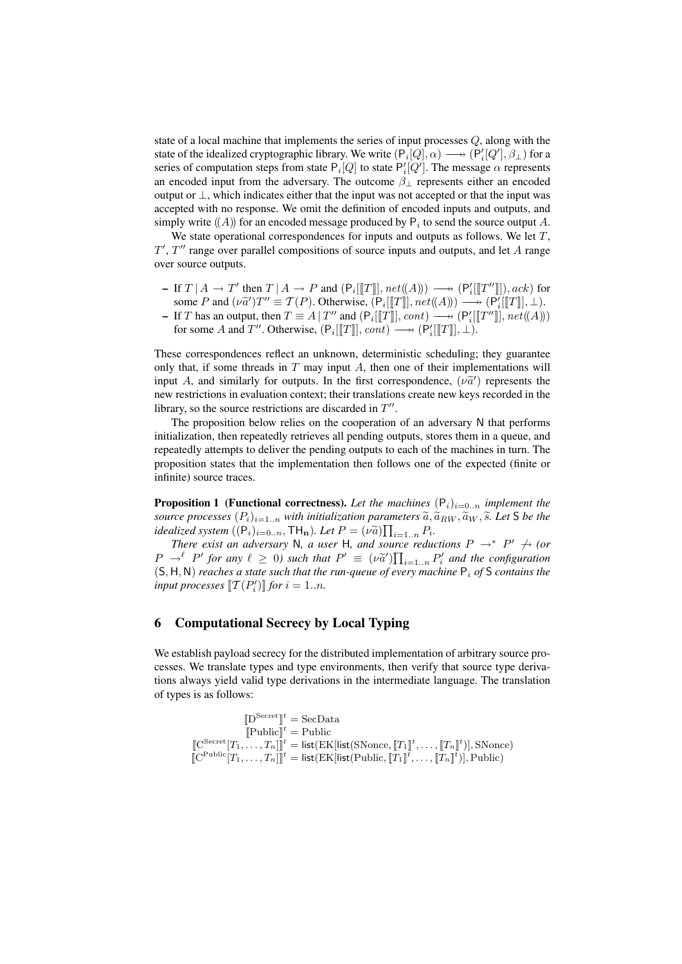state of a local machine that implements the series of input processes  $Q$ , along with the state of the idealized cryptographic library. We write  $(\mathsf{P}_i[Q], \alpha) \longrightarrow (\mathsf{P}'_i[Q'], \beta_\bot)$  for a series of computation steps from state  $P_i[Q]$  to state  $P'_i[Q']$ . The message  $\alpha$  represents an encoded input from the adversary. The outcome  $\beta_{\perp}$  represents either an encoded output or ⊥, which indicates either that the input was not accepted or that the input was accepted with no response. We omit the definition of encoded inputs and outputs, and simply write  $(\!(A)\!)$  for an encoded message produced by  $\mathsf{P}_i$  to send the source output  $A.$ 

We state operational correspondences for inputs and outputs as follows. We let  $T$ ,  $T'$ ,  $T''$  range over parallel compositions of source inputs and outputs, and let A range over source outputs.

- If  $T \mid A \to T'$  then  $T \mid A \to P$  and  $(P_i[[T]], net((A))) \longrightarrow (P'_i[[T'']]), ack)$  for some P and  $(\nu \tilde{a}')T'' \equiv T(P)$ . Otherwise,  $(P_i[[T]], net((A))) \longrightarrow (P'_i[[T]], \perp)$ .<br>If T has an output, then  $T = A[T''$  and  $(P_i[[T]] = cont)$ .
- If T has an output, then  $T \equiv A | T''$  and  $(P_i[[T]], cont) \longrightarrow (P'_i[[T'']]$ ,  $net((A)))$ for some A and T''. Otherwise,  $(P_i[[T]], cont) \longrightarrow (P'_i[[T]], \bot)$ .

These correspondences reflect an unknown, deterministic scheduling; they guarantee only that, if some threads in  $T$  may input  $A$ , then one of their implementations will input A, and similarly for outputs. In the first correspondence,  $(\nu \tilde{a}')$  represents the new rectrictions in evaluation context; their translations create new keys recorded in the new restrictions in evaluation context; their translations create new keys recorded in the library, so the source restrictions are discarded in  $T''$ .

The proposition below relies on the cooperation of an adversary N that performs initialization, then repeatedly retrieves all pending outputs, stores them in a queue, and repeatedly attempts to deliver the pending outputs to each of the machines in turn. The proposition states that the implementation then follows one of the expected (finite or infinite) source traces.

**Proposition 1** (Functional correctness). Let the machines  $(P_i)_{i=0..n}$  implement the *source processes*  $(P_i)_{i=1..n}$  *with initialization parameters*  $\tilde{a}, \tilde{a}_{RW}, \tilde{a}_W, \tilde{s}$ *. Let* S *be the idealized system*  $((P_i)_{i=0..n}, TH_n)$ *. Let*  $P = (\nu \tilde{a}) \prod_{i=1..n} P_i$ *.*<br>*There exist an adversary* N *a user* H and source reduc-

*There exist an adversary* N, a user H, and source reductions  $P \rightarrow^* P' \not\rightarrow$  (or  $P \to^{\ell} P'$  for any  $\ell \geq 0$ ) such that  $P' \equiv (\nu \tilde{a}') \prod_{i=1...n} P'_i$  and the configuration<br>(S H N) reaches a state such that the run queue of every machine B, of S contains the  $(S, H, N)$  *reaches a state such that the run-queue of every machine*  $P_i$  *of* S *contains the input processes*  $\llbracket T(P'_i) \rrbracket$  *for*  $i = 1..n$ *.* 

# 6 Computational Secrecy by Local Typing

We establish payload secrecy for the distributed implementation of arbitrary source processes. We translate types and type environments, then verify that source type derivations always yield valid type derivations in the intermediate language. The translation of types is as follows:

 $[D^{\text{Secret}}]^t = \text{SecData}$  $[Public]^t = \text{Public}$  $\llbracket \text{C}^{\text{Secret}}[T_1,\ldots,T_n] \rrbracket^t = \textsf{list}(\text{EK}[\textsf{list}(\text{SNone}, [T_1]^t,\ldots,[T_n]^t)], \text{SNonee})$  $[\![C^{\text{Public}}[T_1, \ldots, T_n]]\!]^t = \text{list}(\text{EK}[\text{list}(\text{Public}, [T_1] \!]^t, \ldots, [T_n] \!]^t)],$  Public)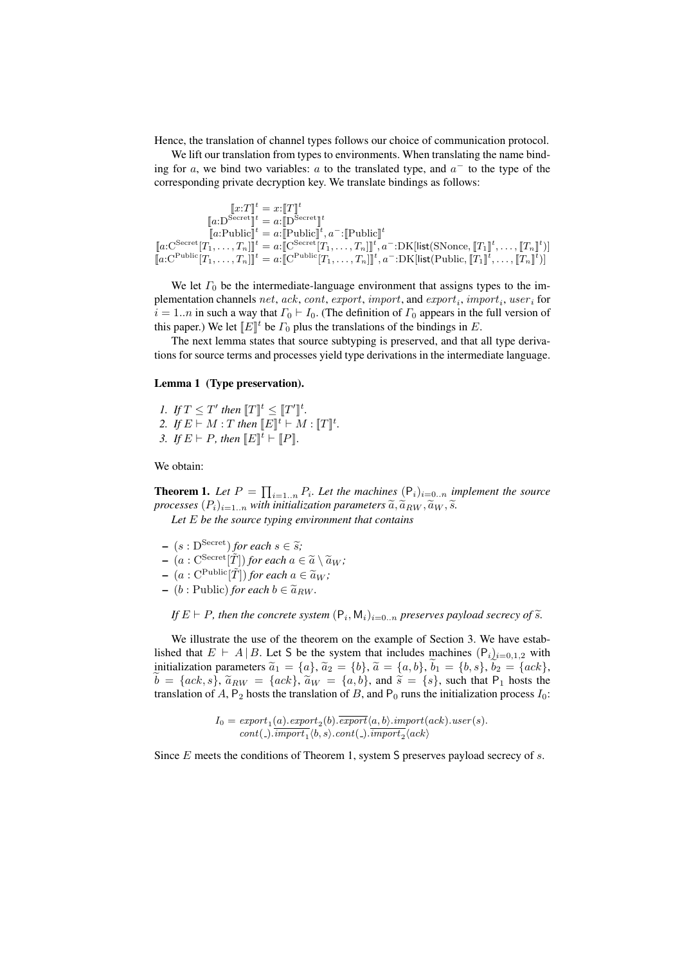Hence, the translation of channel types follows our choice of communication protocol.

We lift our translation from types to environments. When translating the name binding for a, we bind two variables:  $a$  to the translated type, and  $a^-$  to the type of the corresponding private decryption key. We translate bindings as follows:

 $[[x:T]]^t = x: [[T]]^t$  $[a:D^{\text{Secret}}]^t = a:\llbracket D^{\text{Secret}}\rrbracket^t$  $[a:\text{Public}]^t = a:\text{[Public]}^t, a^{-}:\text{[Public]}^t$  $[a:\mathrm{C}^\mathrm{Secret}[T_1,\ldots,T_n]]^t = a:\mathrm{[C}^\mathrm{Secret}[T_1,\ldots,T_n]]^t, a^-:\mathrm{DK}[\mathsf{list}(\mathrm{SNonce},[T_1]^t,\ldots,[T_n]^t)]$  $[[a:\mathbf{C}^{\mathrm{Public}}[T_1,\ldots,T_n]]^t = a:\mathbf{C}^{\mathrm{Public}}[T_1,\ldots,T_n]]^t, a^{-}:\mathbf{DK}[\mathsf{list}(\mathsf{Public}, [T_1]^t,\ldots,[T_n]^t)]$ 

We let  $\Gamma_0$  be the intermediate-language environment that assigns types to the implementation channels  $\emph{net}, \emph{ack}, \emph{cont}, \emph{export}, \emph{import}, \emph{and} \emph{ export}_i, \emph{import}_i, \emph{user}_i$  for  $i = 1..n$  in such a way that  $\Gamma_0 \vdash I_0$ . (The definition of  $\Gamma_0$  appears in the full version of this paper.) We let  $[**E**]<sup>t</sup>$  be  $\Gamma_0$  plus the translations of the bindings in E.

The next lemma states that source subtyping is preserved, and that all type derivations for source terms and processes yield type derivations in the intermediate language.

#### Lemma 1 (Type preservation).

*I.* If  $T \leq T'$  then  $[T]^t \leq [T']^t$ . 2. If  $E \vdash M : T$  then  $[[E]]^t \vdash M : [[T]]^t$ . *3. If*  $E \vdash P$ *, then*  $[E]^t \vdash [P]$ *.* 

We obtain:

**Theorem 1.** Let  $P = \prod_{i=1...n} P_i$ . Let the machines  $(P_i)_{i=0...n}$  implement the source *processes*  $(P_i)_{i=1..n}$  *with initialization parameters*  $\tilde{a}, \tilde{a}_{RW}, \tilde{a}_{W}, \tilde{s}$ *.* 

*Let* E *be the source typing environment that contains*

- $-(s : D<sup>Secret</sup>)$  *for each*  $s \in \tilde{s}$ *;*
- $-(a : \mathrm{C}^\mathrm{Secret}[\tilde{T}])$  *for each*  $a \in \tilde{a} \setminus \tilde{a}_W$ *;*
- $-(a : C^{\text{Public}}[\tilde{T}])$  *for each*  $a \in \tilde{a}_W$ .
- $-$  (*b* : Public) *for each*  $b \in \tilde{a}_{RW}$ *.*

If  $E \vdash P$ , then the concrete system  $(\mathsf{P}_i, \mathsf{M}_i)_{i=0..n}$  preserves payload secrecy of  $\widetilde{s}$ .

We illustrate the use of the theorem on the example of Section 3. We have established that  $E \vdash A \mid B$ . Let S be the system that includes machines  $(P_i)_{i=0,1,2}$  with initialization parameters  $\tilde{a}_1 = \{a\}, \tilde{a}_2 = \{b\}, \tilde{a} = \{a,b\}, \tilde{b}_1 = \{b,s\}, b_2 = \{ack\}$ initialization parameters  $\tilde{a}_1 = \{a\}$ ,  $\tilde{a}_2 = \{b\}$ ,  $\tilde{a} = \{a, b\}$ ,  $b_1 = \{b, s\}$ ,  $b_2 = \{ackab}$ ,  $\tilde{b}_2 = \{ackab}$ ,  $\tilde{a}_{23} = \{a, b\}$ , and  $\tilde{a}_{23} = \{c\}$ , such that  $P_1$  hosts the  $b = \{ack, s\}$ ,  $\tilde{a}_{RW} = \{ack, s\}$ ,  $\tilde{a}_W = \{a, b\}$ , and  $\tilde{s} = \{s\}$ , such that  $P_1$  hosts the translation of  $A$ . B, bosts the translation of  $B$  and  $B_2$  runs the initialization process  $I_2$ . translation of A,  $P_2$  hosts the translation of B, and  $P_0$  runs the initialization process  $I_0$ :

$$
I_0 = export_1(a).export_2(b). \overline{export\langle a, b \rangle}. import(ack). user(s). \\ cont(.).\overline{import_1\langle b, s \rangle}.cont(.).\overline{import_2\langle ack \rangle}
$$

Since E meets the conditions of Theorem 1, system S preserves payload secrecy of s.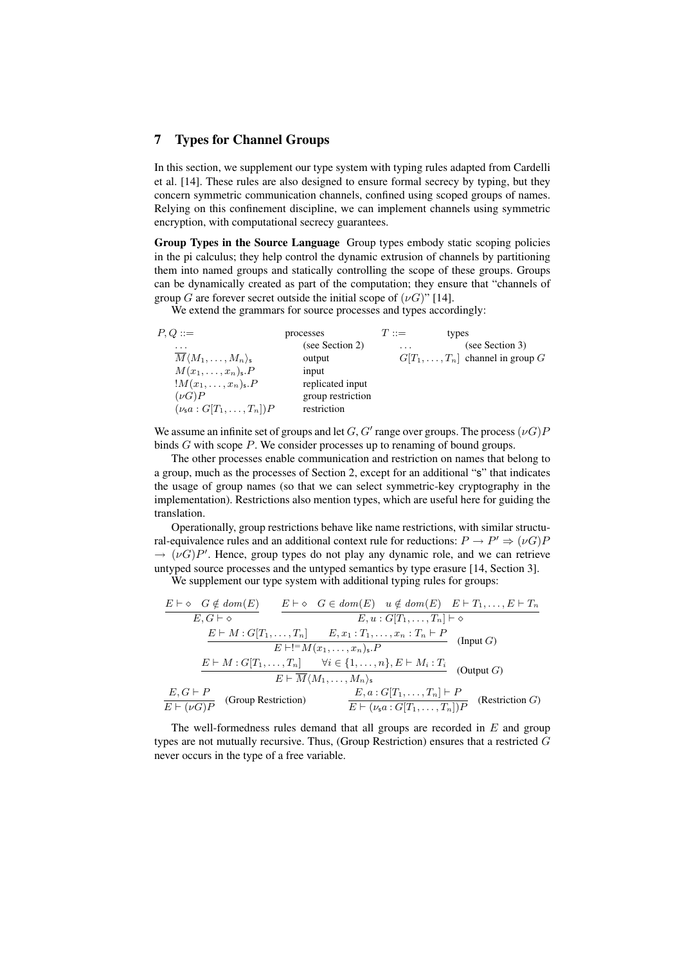## 7 Types for Channel Groups

In this section, we supplement our type system with typing rules adapted from Cardelli et al. [14]. These rules are also designed to ensure formal secrecy by typing, but they concern symmetric communication channels, confined using scoped groups of names. Relying on this confinement discipline, we can implement channels using symmetric encryption, with computational secrecy guarantees.

Group Types in the Source Language Group types embody static scoping policies in the pi calculus; they help control the dynamic extrusion of channels by partitioning them into named groups and statically controlling the scope of these groups. Groups can be dynamically created as part of the computation; they ensure that "channels of group G are forever secret outside the initial scope of  $(\nu G)$ " [14].

We extend the grammars for source processes and types accordingly:

| $P, Q ::=$                                    | processes         | $T ::=$  | types                                    |  |
|-----------------------------------------------|-------------------|----------|------------------------------------------|--|
| $\cdots$                                      | (see Section 2)   | $\cdots$ | (see Section 3)                          |  |
| $M\langle M_1,\ldots,M_n\rangle_{\mathsf{s}}$ | output            |          | $G[T_1, \ldots, T_n]$ channel in group G |  |
| $M(x_1,\ldots,x_n)_{\mathsf{s}}.P$            | input             |          |                                          |  |
| $!M(x_1,\ldots,x_n)_{\rm s}.P$                | replicated input  |          |                                          |  |
| $(\nu G)P$                                    | group restriction |          |                                          |  |
| $(\nu_s a: G[T_1,\ldots,T_n])P$               | restriction       |          |                                          |  |

We assume an infinite set of groups and let G, G' range over groups. The process  $(\nu G)F$ binds G with scope P. We consider processes up to renaming of bound groups.

The other processes enable communication and restriction on names that belong to a group, much as the processes of Section 2, except for an additional "s" that indicates the usage of group names (so that we can select symmetric-key cryptography in the implementation). Restrictions also mention types, which are useful here for guiding the translation.

Operationally, group restrictions behave like name restrictions, with similar structural-equivalence rules and an additional context rule for reductions:  $P \to P' \Rightarrow (\nu G)P$  $\rightarrow (\nu G)P'$ . Hence, group types do not play any dynamic role, and we can retrieve untyped source processes and the untyped semantics by type erasure [14, Section 3].

We supplement our type system with additional typing rules for groups:

$$
\frac{E \vdash \diamond \quad G \notin dom(E)}{E, G \vdash \diamond} \quad \frac{E \vdash \diamond \quad G \in dom(E) \quad u \notin dom(E) \quad E \vdash T_1, \dots, E \vdash T_n}{E, u : G[T_1, \dots, T_n] \vdash \diamond}
$$
\n
$$
\frac{E \vdash M : G[T_1, \dots, T_n] \quad E, x_1 : T_1, \dots, x_n : T_n \vdash P}{E \vdash ! = M(x_1, \dots, x_n)_s.P} \quad (\text{Input } G)
$$
\n
$$
\frac{E \vdash M : G[T_1, \dots, T_n] \quad \forall i \in \{1, \dots, n\}, E \vdash M_i : T_i}{E \vdash \overline{M} \langle M_1, \dots, M_n \rangle_s} \quad (\text{Output } G)
$$
\n
$$
\frac{E, G \vdash P}{E \vdash (\nu G)P} \quad (\text{Group Restriction}) \qquad \frac{E, a : G[T_1, \dots, T_n] \vdash P}{E \vdash (\nu_s a : G[T_1, \dots, T_n])P} \quad (\text{Restriction } G)
$$

The well-formedness rules demand that all groups are recorded in  $E$  and group types are not mutually recursive. Thus, (Group Restriction) ensures that a restricted  $G$ never occurs in the type of a free variable.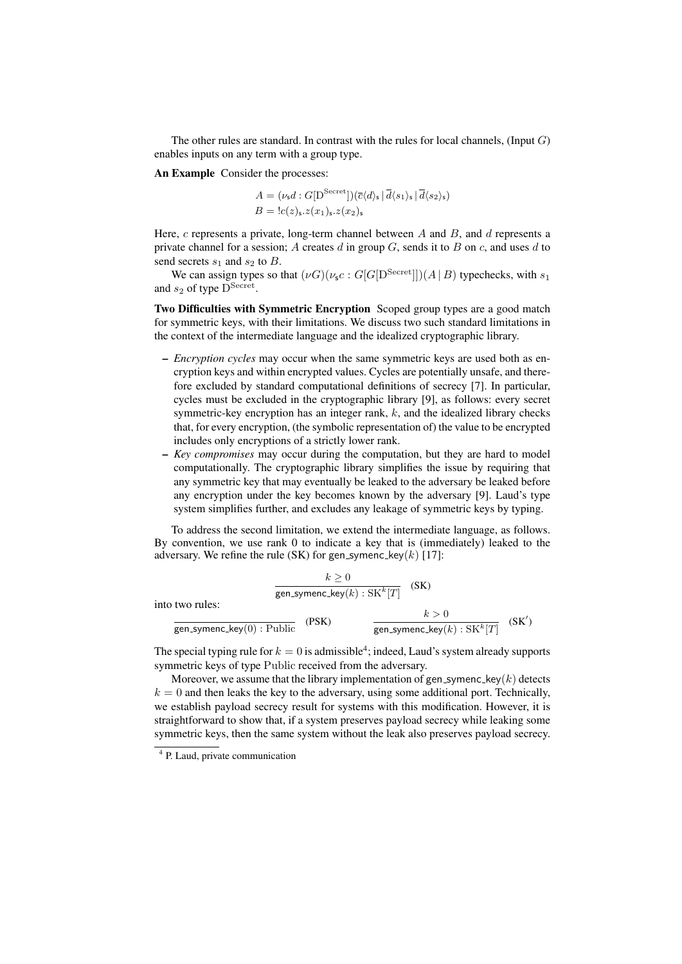The other rules are standard. In contrast with the rules for local channels, (Input  $G$ ) enables inputs on any term with a group type.

An Example Consider the processes:

$$
A = (\nu_s d : G[D^{\text{Secret}}]) (\overline{c} \langle d \rangle_s | \overline{d} \langle s_1 \rangle_s | \overline{d} \langle s_2 \rangle_s)
$$
  

$$
B = !c(z)_s.z(x_1)_s.z(x_2)_s
$$

Here,  $c$  represents a private, long-term channel between  $A$  and  $B$ , and  $d$  represents a private channel for a session; A creates d in group  $G$ , sends it to  $B$  on  $c$ , and uses d to send secrets  $s_1$  and  $s_2$  to B.

We can assign types so that  $(\nu G)(\nu_s c : G[G]D^{Secret}]](A | B)$  typechecks, with  $s_1$ and  $s_2$  of type  $\mathrm{D^{Secret}}$ .

Two Difficulties with Symmetric Encryption Scoped group types are a good match for symmetric keys, with their limitations. We discuss two such standard limitations in the context of the intermediate language and the idealized cryptographic library.

- *Encryption cycles* may occur when the same symmetric keys are used both as encryption keys and within encrypted values. Cycles are potentially unsafe, and therefore excluded by standard computational definitions of secrecy [7]. In particular, cycles must be excluded in the cryptographic library [9], as follows: every secret symmetric-key encryption has an integer rank,  $k$ , and the idealized library checks that, for every encryption, (the symbolic representation of) the value to be encrypted includes only encryptions of a strictly lower rank.
- *Key compromises* may occur during the computation, but they are hard to model computationally. The cryptographic library simplifies the issue by requiring that any symmetric key that may eventually be leaked to the adversary be leaked before any encryption under the key becomes known by the adversary [9]. Laud's type system simplifies further, and excludes any leakage of symmetric keys by typing.

To address the second limitation, we extend the intermediate language, as follows. By convention, we use rank 0 to indicate a key that is (immediately) leaked to the adversary. We refine the rule (SK) for gen\_symenc\_key( $k$ ) [17]:

$$
\frac{k \ge 0}{\text{gen\_symenc\_key}(k) : \text{SK}^k[T]} \quad \text{(SK)}
$$
\n
$$
\frac{k > 0}{\text{gen\_symenc\_key}(0) : \text{Public}} \quad \text{(PSK)} \quad \frac{k > 0}{\text{gen\_symenc\_key}(k) : \text{SK}^k[T]} \quad \text{(SK')}
$$

The special typing rule for  $k = 0$  is admissible<sup>4</sup>; indeed, Laud's system already supports symmetric keys of type Public received from the adversary.

Moreover, we assume that the library implementation of gen\_symenc\_key( $k$ ) detects  $k = 0$  and then leaks the key to the adversary, using some additional port. Technically, we establish payload secrecy result for systems with this modification. However, it is straightforward to show that, if a system preserves payload secrecy while leaking some symmetric keys, then the same system without the leak also preserves payload secrecy.

<sup>&</sup>lt;sup>4</sup> P. Laud, private communication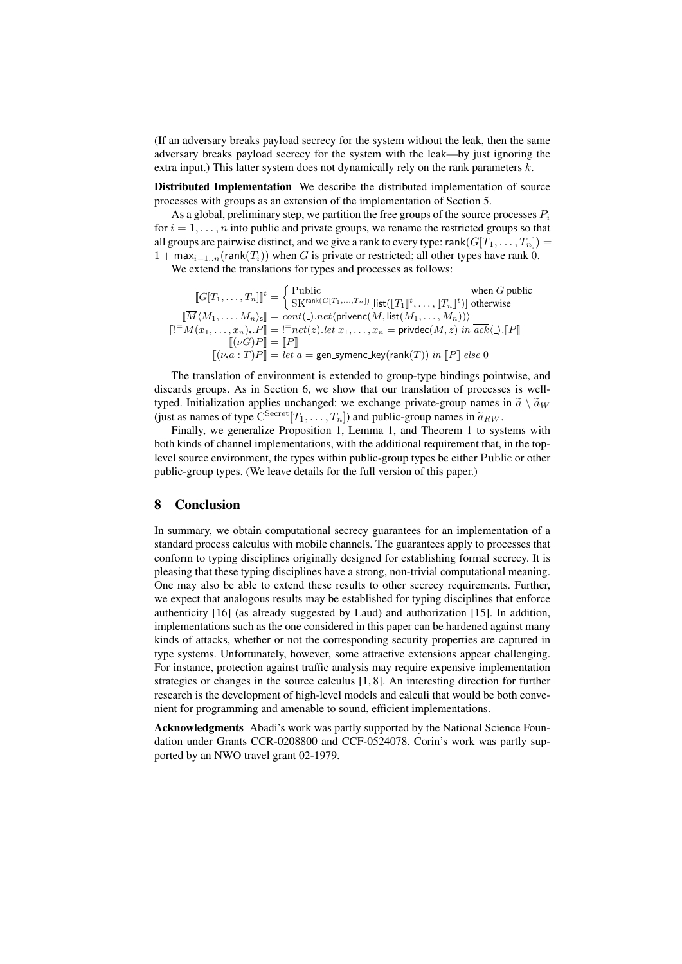(If an adversary breaks payload secrecy for the system without the leak, then the same adversary breaks payload secrecy for the system with the leak—by just ignoring the extra input.) This latter system does not dynamically rely on the rank parameters  $k$ .

Distributed Implementation We describe the distributed implementation of source processes with groups as an extension of the implementation of Section 5.

As a global, preliminary step, we partition the free groups of the source processes  $P_i$ for  $i = 1, \ldots, n$  into public and private groups, we rename the restricted groups so that all groups are pairwise distinct, and we give a rank to every type: rank $(G[T_1, \ldots, T_n]) =$  $1 + \max_{i=1..n}(\text{rank}(T_i))$  when G is private or restricted; all other types have rank 0.

We extend the translations for types and processes as follows:

 $[[G[T_1, \ldots, T_n]]]^{t} = \begin{cases} \text{Public} & \text{when } G \text{ public} \\ \text{crzrank}(G[T_1, \ldots, T_n]) \text{if} \text{int}(\mathbb{T}^T) \mathbb{I}^t & \text{if } T \in \mathbb{N} \text{ otherwise.} \end{cases}$  $\text{SK}^{\textsf{rank}(G[T_1, ..., T_n])}[\textsf{list}(\llbracket T_1\rrbracket^t, \dots, \llbracket T_n\rrbracket^t)]$  otherwise  $\|\overline{M}\langle M_1, \ldots, M_n\rangle_{\mathfrak{s}}\| = \text{cont}(\underline{\ }). \overline{\text{net}}\langle \mathsf{private}(M, \mathsf{list}(M_1, \ldots, M_n))\rangle$  $\llbracket \cdot \rrbracket M(x_1, \ldots, x_n), P \rrbracket = \urcorner \negthickspace net(z) \text{.} \text{ let } x_1, \ldots, x_n = \text{private}(M, z) \text{ in } \overline{\text{ack}} \langle \cdot \rangle. \llbracket P \rrbracket$  $[(\nu G)P] = [P]$  $[(\nu<sub>s</sub>a: T)P] = let a = gen_symenc\_key(rank(T)) in [P] else 0$ 

The translation of environment is extended to group-type bindings pointwise, and discards groups. As in Section 6, we show that our translation of processes is welltyped. Initialization applies unchanged: we exchange private-group names in  $\tilde{a} \setminus \tilde{a}_W$ (just as names of type  $C^{\text{Secret}}[T_1, \ldots, T_n]$ ) and public-group names in  $\tilde{a}_{RW}$ .<br>Finally, we generalize Proposition 1, Lamma 1, and Theorem 1 to sys-

Finally, we generalize Proposition 1, Lemma 1, and Theorem 1 to systems with both kinds of channel implementations, with the additional requirement that, in the toplevel source environment, the types within public-group types be either Public or other public-group types. (We leave details for the full version of this paper.)

#### 8 Conclusion

In summary, we obtain computational secrecy guarantees for an implementation of a standard process calculus with mobile channels. The guarantees apply to processes that conform to typing disciplines originally designed for establishing formal secrecy. It is pleasing that these typing disciplines have a strong, non-trivial computational meaning. One may also be able to extend these results to other secrecy requirements. Further, we expect that analogous results may be established for typing disciplines that enforce authenticity [16] (as already suggested by Laud) and authorization [15]. In addition, implementations such as the one considered in this paper can be hardened against many kinds of attacks, whether or not the corresponding security properties are captured in type systems. Unfortunately, however, some attractive extensions appear challenging. For instance, protection against traffic analysis may require expensive implementation strategies or changes in the source calculus [1, 8]. An interesting direction for further research is the development of high-level models and calculi that would be both convenient for programming and amenable to sound, efficient implementations.

Acknowledgments Abadi's work was partly supported by the National Science Foundation under Grants CCR-0208800 and CCF-0524078. Corin's work was partly supported by an NWO travel grant 02-1979.